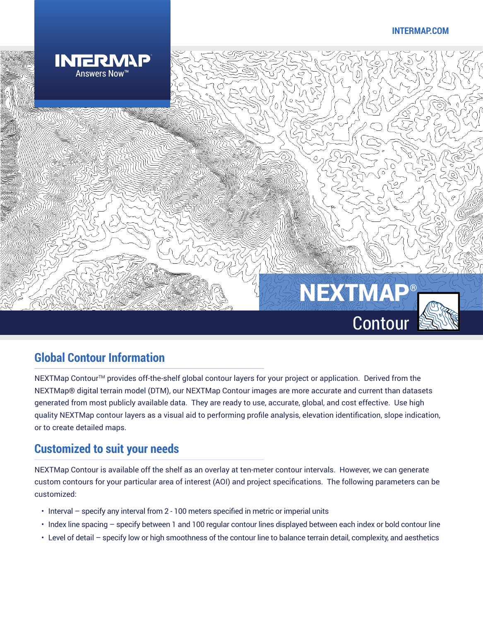#### **INTERMAP.COM**



## **Global Contour Information**

NEXTMap Contour™ provides off-the-shelf global contour layers for your project or application. Derived from the NEXTMap® digital terrain model (DTM), our NEXTMap Contour images are more accurate and current than datasets generated from most publicly available data. They are ready to use, accurate, global, and cost effective. Use high quality NEXTMap contour layers as a visual aid to performing profile analysis, elevation identification, slope indication, or to create detailed maps.

### **Customized to suit your needs**

NEXTMap Contour is available off the shelf as an overlay at ten-meter contour intervals. However, we can generate custom contours for your particular area of interest (AOI) and project specifications. The following parameters can be customized:

- Interval specify any interval from 2 100 meters specified in metric or imperial units
- Index line spacing specify between 1 and 100 regular contour lines displayed between each index or bold contour line
- Level of detail specify low or high smoothness of the contour line to balance terrain detail, complexity, and aesthetics